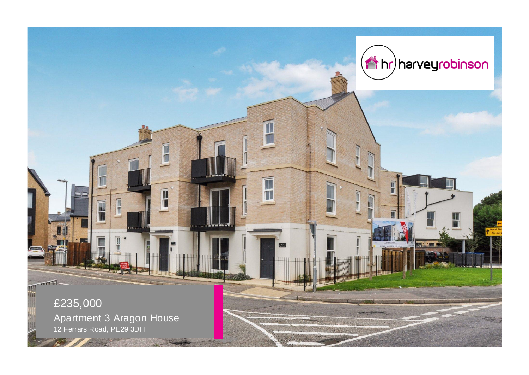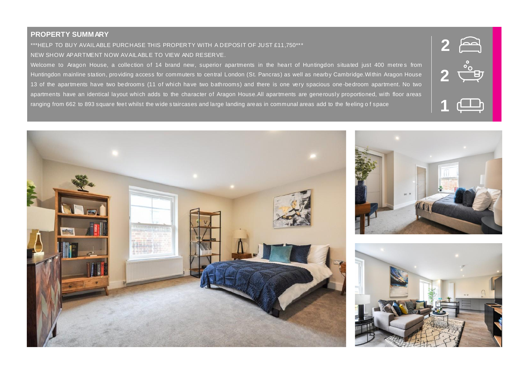## **PROPERTY SUMMARY**

\*\*\*HELP TO BUY AVAILABLE PURCHASE THIS PROPERTY WITH A DEPOSIT OF JUST £11,750\*\*\* NEW SHOW APARTMENT NOW AVAILABLE TO VIEW AND RESERVE.

Welcome to Aragon House, a collection of 14 brand new, superior apartments in the heart of Huntingdon situated just 400 metres from Huntingdon mainline station, providing access for commuters to central London (St. Pancras) as well as nearby Cambridge.Within Aragon House 13 of the apartments have two bedrooms (11 of which have two bathrooms) and there is one very spacious one -bedroom apartment. No two apartments have an identical layout which adds to the character of Aragon House.All apartments are generously proportioned, with floor areas ranging from 662 to 893 square feet whilst the wide s taircases and large landing areas in communal areas add to the feeling o f space



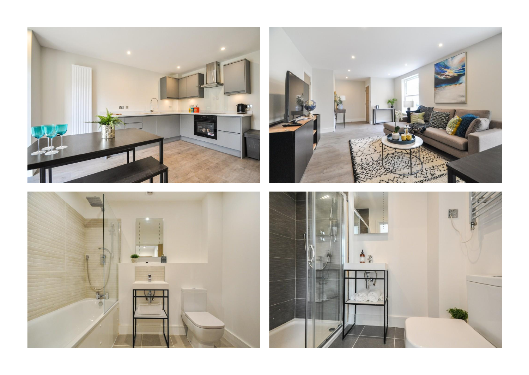